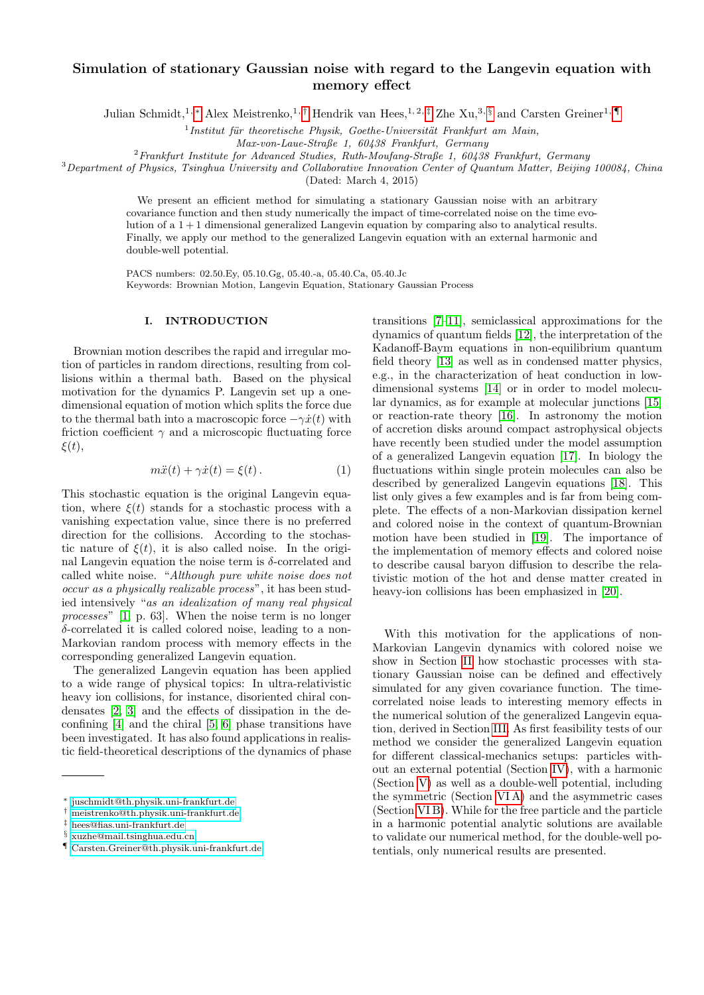# Simulation of stationary Gaussian noise with regard to the Langevin equation with memory effect

Julian Schmidt,<sup>1, [∗](#page-0-0)</sup> Alex Meistrenko,<sup>1,[†](#page-0-1)</sup> Hendrik van Hees,<sup>1,2,[‡](#page-0-2)</sup> Zhe Xu,<sup>3, [§](#page-0-3)</sup> and Carsten Greiner<sup>1,</sup> [¶](#page-0-4)

 $<sup>1</sup>$ Institut für theoretische Physik, Goethe-Universität Frankfurt am Main,</sup>

 $^{2}$ Frankfurt Institute for Advanced Studies, Ruth-Moufang-Straße 1, 60438 Frankfurt, Germany

 $3$ Department of Physics, Tsinghua University and Collaborative Innovation Center of Quantum Matter, Beijing 100084, China (Dated: March 4, 2015)

> We present an efficient method for simulating a stationary Gaussian noise with an arbitrary covariance function and then study numerically the impact of time-correlated noise on the time evolution of a 1 + 1 dimensional generalized Langevin equation by comparing also to analytical results. Finally, we apply our method to the generalized Langevin equation with an external harmonic and double-well potential.

PACS numbers: 02.50.Ey, 05.10.Gg, 05.40.-a, 05.40.Ca, 05.40.Jc Keywords: Brownian Motion, Langevin Equation, Stationary Gaussian Process

### I. INTRODUCTION

Brownian motion describes the rapid and irregular motion of particles in random directions, resulting from collisions within a thermal bath. Based on the physical motivation for the dynamics P. Langevin set up a onedimensional equation of motion which splits the force due to the thermal bath into a macroscopic force  $-\gamma \dot{x}(t)$  with friction coefficient  $\gamma$  and a microscopic fluctuating force  $\xi(t),$ 

$$
m\ddot{x}(t) + \gamma \dot{x}(t) = \xi(t). \tag{1}
$$

This stochastic equation is the original Langevin equation, where  $\xi(t)$  stands for a stochastic process with a vanishing expectation value, since there is no preferred direction for the collisions. According to the stochastic nature of  $\xi(t)$ , it is also called noise. In the original Langevin equation the noise term is  $\delta$ -correlated and called white noise. "Although pure white noise does not occur as a physically realizable process", it has been studied intensively "as an idealization of many real physical processes" [\[1,](#page-11-0) p. 63]. When the noise term is no longer δ-correlated it is called colored noise, leading to a non-Markovian random process with memory effects in the corresponding generalized Langevin equation.

The generalized Langevin equation has been applied to a wide range of physical topics: In ultra-relativistic heavy ion collisions, for instance, disoriented chiral condensates [\[2,](#page-11-1) [3\]](#page-11-2) and the effects of dissipation in the deconfining [\[4\]](#page-11-3) and the chiral [\[5,](#page-11-4) [6\]](#page-11-5) phase transitions have been investigated. It has also found applications in realistic field-theoretical descriptions of the dynamics of phase transitions [\[7–](#page-11-6)[11\]](#page-11-7), semiclassical approximations for the dynamics of quantum fields [\[12\]](#page-11-8), the interpretation of the Kadanoff-Baym equations in non-equilibrium quantum field theory [\[13\]](#page-11-9) as well as in condensed matter physics, e.g., in the characterization of heat conduction in lowdimensional systems [\[14\]](#page-11-10) or in order to model molecular dynamics, as for example at molecular junctions [\[15\]](#page-11-11) or reaction-rate theory [\[16\]](#page-11-12). In astronomy the motion of accretion disks around compact astrophysical objects have recently been studied under the model assumption of a generalized Langevin equation [\[17\]](#page-11-13). In biology the fluctuations within single protein molecules can also be described by generalized Langevin equations [\[18\]](#page-11-14). This list only gives a few examples and is far from being complete. The effects of a non-Markovian dissipation kernel and colored noise in the context of quantum-Brownian motion have been studied in [\[19\]](#page-11-15). The importance of the implementation of memory effects and colored noise to describe causal baryon diffusion to describe the relativistic motion of the hot and dense matter created in heavy-ion collisions has been emphasized in [\[20\]](#page-11-16).

With this motivation for the applications of non-Markovian Langevin dynamics with colored noise we show in Section [II](#page-1-0) how stochastic processes with stationary Gaussian noise can be defined and effectively simulated for any given covariance function. The timecorrelated noise leads to interesting memory effects in the numerical solution of the generalized Langevin equation, derived in Section [III.](#page-3-0) As first feasibility tests of our method we consider the generalized Langevin equation for different classical-mechanics setups: particles without an external potential (Section [IV\)](#page-4-0), with a harmonic (Section [V\)](#page-6-0) as well as a double-well potential, including the symmetric (Section [VI A\)](#page-8-0) and the asymmetric cases (Section [VI B\)](#page-8-1). While for the free particle and the particle in a harmonic potential analytic solutions are available to validate our numerical method, for the double-well potentials, only numerical results are presented.

Max-von-Laue-Straße 1, 60438 Frankfurt, Germany

<span id="page-0-0"></span><sup>∗</sup> [juschmidt@th.physik.uni-frankfurt.de](mailto:juschmidt@th.physik.uni-frankfurt.de)

<span id="page-0-1"></span><sup>†</sup> [meistrenko@th.physik.uni-frankfurt.de](mailto:meistrenko@th.physik.uni-frankfurt.de)

<span id="page-0-2"></span><sup>‡</sup> [hees@fias.uni-frankfurt.de](mailto:hees@fias.uni-frankfurt.de)

<span id="page-0-3"></span><sup>§</sup> [xuzhe@mail.tsinghua.edu.cn](mailto:xuzhe@mail.tsinghua.edu.cn)

<span id="page-0-4"></span><sup>¶</sup> [Carsten.Greiner@th.physik.uni-frankfurt.de](mailto:Carsten.Greiner@th.physik.uni-frankfurt.de)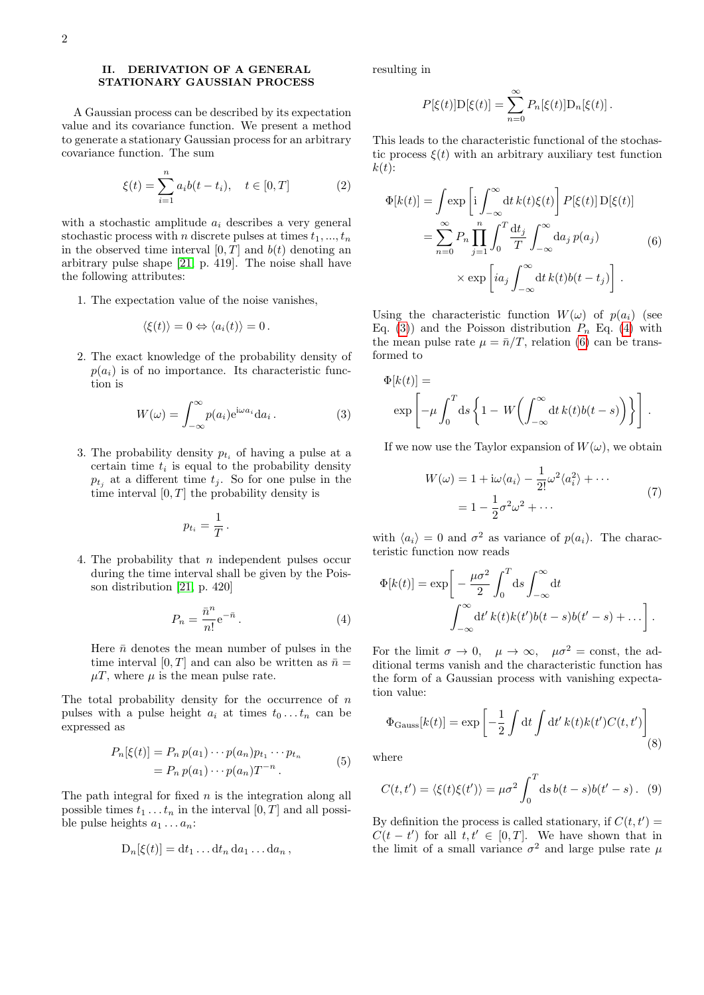### <span id="page-1-0"></span>II. DERIVATION OF A GENERAL STATIONARY GAUSSIAN PROCESS

A Gaussian process can be described by its expectation value and its covariance function. We present a method to generate a stationary Gaussian process for an arbitrary covariance function. The sum

<span id="page-1-4"></span>
$$
\xi(t) = \sum_{i=1}^{n} a_i b(t - t_i), \quad t \in [0, T]
$$
 (2)

with a stochastic amplitude  $a_i$  describes a very general stochastic process with *n* discrete pulses at times  $t_1, ..., t_n$ in the observed time interval  $[0, T]$  and  $b(t)$  denoting an arbitrary pulse shape [\[21,](#page-11-17) p. 419]. The noise shall have the following attributes:

1. The expectation value of the noise vanishes,

$$
\langle \xi(t) \rangle = 0 \Leftrightarrow \langle a_i(t) \rangle = 0.
$$

2. The exact knowledge of the probability density of  $p(a_i)$  is of no importance. Its characteristic function is

<span id="page-1-1"></span>
$$
W(\omega) = \int_{-\infty}^{\infty} p(a_i) e^{i\omega a_i} da_i.
$$
 (3)

3. The probability density  $p_{t_i}$  of having a pulse at a certain time  $t_i$  is equal to the probability density  $p_{t_j}$  at a different time  $t_j$ . So for one pulse in the time interval  $[0, T]$  the probability density is

$$
p_{t_i} = \frac{1}{T} \, .
$$

4. The probability that  $n$  independent pulses occur during the time interval shall be given by the Poisson distribution [\[21,](#page-11-17) p. 420]

<span id="page-1-2"></span>
$$
P_n = \frac{\bar{n}^n}{n!} e^{-\bar{n}}.
$$
\n(4)

Here  $\bar{n}$  denotes the mean number of pulses in the time interval [0, T] and can also be written as  $\bar{n} =$  $\mu$ , where  $\mu$  is the mean pulse rate.

The total probability density for the occurrence of  $n$ pulses with a pulse height  $a_i$  at times  $t_0 \ldots t_n$  can be expressed as

$$
P_n[\xi(t)] = P_n p(a_1) \cdots p(a_n) p_{t_1} \cdots p_{t_n}
$$
  
= 
$$
P_n p(a_1) \cdots p(a_n) T^{-n}.
$$
 (5)

The path integral for fixed  $n$  is the integration along all possible times  $t_1 \ldots t_n$  in the interval  $[0, T]$  and all possible pulse heights  $a_1 \ldots a_n$ :

$$
D_n[\xi(t)] = dt_1 \dots dt_n da_1 \dots da_n,
$$

resulting in

$$
P[\xi(t)]\mathcal{D}[\xi(t)] = \sum_{n=0}^{\infty} P_n[\xi(t)]\mathcal{D}_n[\xi(t)].
$$

This leads to the characteristic functional of the stochastic process  $\xi(t)$  with an arbitrary auxiliary test function  $k(t)$ :

<span id="page-1-3"></span>
$$
\Phi[k(t)] = \int \exp\left[i \int_{-\infty}^{\infty} dt \, k(t) \xi(t)\right] P[\xi(t)] \, \mathrm{D}[\xi(t)]
$$
\n
$$
= \sum_{n=0}^{\infty} P_n \prod_{j=1}^{n} \int_{0}^{T} \frac{\mathrm{d}t_j}{T} \int_{-\infty}^{\infty} \mathrm{d}a_j \, p(a_j) \tag{6}
$$
\n
$$
\times \exp\left[ia_j \int_{-\infty}^{\infty} \mathrm{d}t \, k(t) b(t - t_j)\right].
$$

Using the characteristic function  $W(\omega)$  of  $p(a_i)$  (see Eq. [\(3\)](#page-1-1)) and the Poisson distribution  $P_n$  Eq. [\(4\)](#page-1-2) with the mean pulse rate  $\mu = \bar{n}/T$ , relation [\(6\)](#page-1-3) can be transformed to

$$
\Phi[k(t)] = \exp\left[-\mu \int_0^T ds \left\{1 - W\left(\int_{-\infty}^\infty dt \, k(t)b(t-s)\right)\right\}\right].
$$

If we now use the Taylor expansion of  $W(\omega)$ , we obtain

$$
W(\omega) = 1 + i\omega \langle a_i \rangle - \frac{1}{2!} \omega^2 \langle a_i^2 \rangle + \cdots
$$
  
=  $1 - \frac{1}{2} \sigma^2 \omega^2 + \cdots$  (7)

with  $\langle a_i \rangle = 0$  and  $\sigma^2$  as variance of  $p(a_i)$ . The characteristic function now reads

$$
\Phi[k(t)] = \exp\bigg[-\frac{\mu\sigma^2}{2}\int_0^T ds \int_{-\infty}^\infty dt \bigg]
$$

$$
\int_{-\infty}^\infty dt' k(t)k(t')b(t-s)b(t'-s) + \dots\bigg].
$$

For the limit  $\sigma \to 0$ ,  $\mu \to \infty$ ,  $\mu \sigma^2 = \text{const}$ , the additional terms vanish and the characteristic function has the form of a Gaussian process with vanishing expectation value:

$$
\Phi_{\text{Gauss}}[k(t)] = \exp\left[-\frac{1}{2}\int \mathrm{d}t \int \mathrm{d}t' \, k(t)k(t')C(t,t')\right] \tag{8}
$$

where

<span id="page-1-5"></span>
$$
C(t,t') = \langle \xi(t)\xi(t')\rangle = \mu\sigma^2 \int_0^T ds \, b(t-s)b(t'-s) \,. \tag{9}
$$

By definition the process is called stationary, if  $C(t, t') =$  $C(t - t')$  for all  $t, t' \in [0, T]$ . We have shown that in the limit of a small variance  $\sigma^2$  and large pulse rate  $\mu$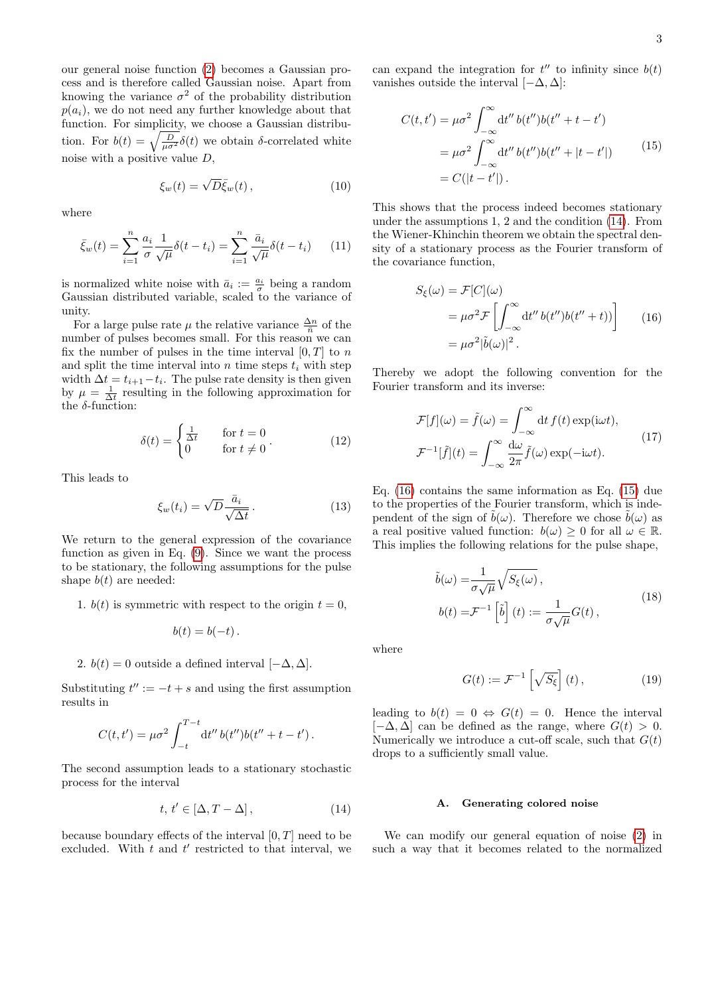our general noise function [\(2\)](#page-1-4) becomes a Gaussian process and is therefore called Gaussian noise. Apart from knowing the variance  $\sigma^2$  of the probability distribution  $p(a_i)$ , we do not need any further knowledge about that function. For simplicity, we choose a Gaussian distribution. For  $b(t) = \sqrt{\frac{D}{\mu \sigma^2}} \delta(t)$  we obtain  $\delta$ -correlated white noise with a positive value  $D$ ,

$$
\xi_w(t) = \sqrt{D}\bar{\xi}_w(t) \,, \tag{10}
$$

where

<span id="page-2-3"></span>
$$
\bar{\xi}_w(t) = \sum_{i=1}^n \frac{a_i}{\sigma} \frac{1}{\sqrt{\mu}} \delta(t - t_i) = \sum_{i=1}^n \frac{\bar{a}_i}{\sqrt{\mu}} \delta(t - t_i) \qquad (11)
$$

is normalized white noise with  $\bar{a}_i := \frac{a_i}{\sigma}$  being a random Gaussian distributed variable, scaled to the variance of unity.

For a large pulse rate  $\mu$  the relative variance  $\frac{\Delta n}{\bar{n}}$  of the number of pulses becomes small. For this reason we can fix the number of pulses in the time interval  $[0, T]$  to n and split the time interval into  $n$  time steps  $t_i$  with step width  $\Delta t = t_{i+1} - t_i$ . The pulse rate density is then given by  $\mu = \frac{1}{\Delta t}$  resulting in the following approximation for the  $\delta$ -function:

$$
\delta(t) = \begin{cases} \frac{1}{\Delta t} & \text{for } t = 0\\ 0 & \text{for } t \neq 0 \end{cases}.
$$
 (12)

This leads to

$$
\xi_w(t_i) = \sqrt{D} \frac{\bar{a}_i}{\sqrt{\Delta t}}.
$$
\n(13)

We return to the general expression of the covariance function as given in Eq. [\(9\)](#page-1-5). Since we want the process to be stationary, the following assumptions for the pulse shape  $b(t)$  are needed:

1.  $b(t)$  is symmetric with respect to the origin  $t = 0$ ,

$$
b(t) = b(-t) .
$$

2. 
$$
b(t) = 0
$$
 outside a defined interval  $[-\Delta, \Delta]$ .

Substituting  $t'' := -t + s$  and using the first assumption results in

$$
C(t,t') = \mu \sigma^2 \int_{-t}^{T-t} dt'' b(t'') b(t'' + t - t').
$$

The second assumption leads to a stationary stochastic process for the interval

<span id="page-2-0"></span>
$$
t, t' \in [\Delta, T - \Delta], \tag{14}
$$

because boundary effects of the interval  $[0, T]$  need to be excluded. With  $t$  and  $t'$  restricted to that interval, we

can expand the integration for  $t''$  to infinity since  $b(t)$ vanishes outside the interval  $[-\Delta, \Delta]$ :

<span id="page-2-2"></span>
$$
C(t, t') = \mu \sigma^2 \int_{-\infty}^{\infty} dt'' b(t'') b(t'' + t - t')
$$
  
=  $\mu \sigma^2 \int_{-\infty}^{\infty} dt'' b(t'') b(t'' + |t - t'|)$  (15)  
=  $C(|t - t'|)$ .

This shows that the process indeed becomes stationary under the assumptions 1, 2 and the condition [\(14\)](#page-2-0). From the Wiener-Khinchin theorem we obtain the spectral density of a stationary process as the Fourier transform of the covariance function,

<span id="page-2-1"></span>
$$
S_{\xi}(\omega) = \mathcal{F}[C](\omega)
$$
  
=  $\mu \sigma^2 \mathcal{F} \left[ \int_{-\infty}^{\infty} dt'' b(t'') b(t'' + t) \right]$  (16)  
=  $\mu \sigma^2 |\tilde{b}(\omega)|^2$ .

Thereby we adopt the following convention for the Fourier transform and its inverse:

$$
\mathcal{F}[f](\omega) = \tilde{f}(\omega) = \int_{-\infty}^{\infty} dt f(t) \exp(i\omega t),
$$
  

$$
\mathcal{F}^{-1}[\tilde{f}](t) = \int_{-\infty}^{\infty} \frac{d\omega}{2\pi} \tilde{f}(\omega) \exp(-i\omega t).
$$
 (17)

Eq. [\(16\)](#page-2-1) contains the same information as Eq. [\(15\)](#page-2-2) due to the properties of the Fourier transform, which is independent of the sign of  $\tilde{b}(\omega)$ . Therefore we chose  $\tilde{b}(\omega)$  as a real positive valued function:  $b(\omega) \geq 0$  for all  $\omega \in \mathbb{R}$ . This implies the following relations for the pulse shape,

$$
\tilde{b}(\omega) = \frac{1}{\sigma\sqrt{\mu}}\sqrt{S_{\xi}(\omega)},
$$
\n
$$
b(t) = \mathcal{F}^{-1}\left[\tilde{b}\right](t) := \frac{1}{\sigma\sqrt{\mu}}G(t),
$$
\n(18)

<span id="page-2-4"></span>where

$$
G(t) := \mathcal{F}^{-1}\left[\sqrt{S_{\xi}}\right](t),\tag{19}
$$

leading to  $b(t) = 0 \Leftrightarrow G(t) = 0$ . Hence the interval  $[-\Delta, \Delta]$  can be defined as the range, where  $G(t) > 0$ . Numerically we introduce a cut-off scale, such that  $G(t)$ drops to a sufficiently small value.

### A. Generating colored noise

We can modify our general equation of noise [\(2\)](#page-1-4) in such a way that it becomes related to the normalized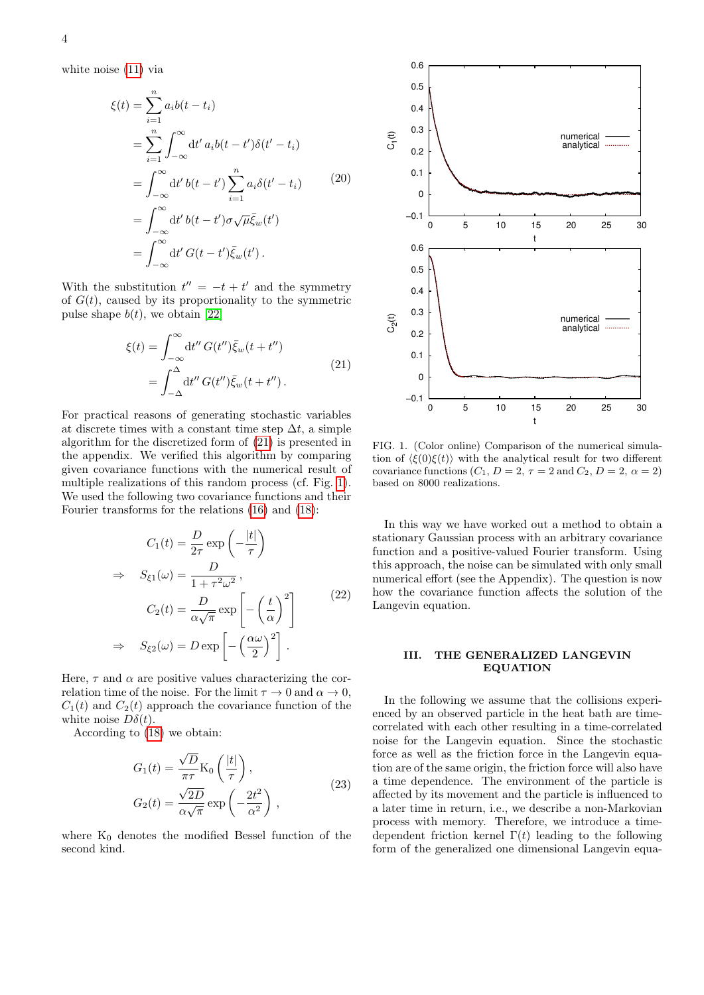white noise [\(11\)](#page-2-3) via

$$
\xi(t) = \sum_{i=1}^{n} a_i b(t - t_i)
$$
  
= 
$$
\sum_{i=1}^{n} \int_{-\infty}^{\infty} dt' a_i b(t - t') \delta(t' - t_i)
$$
  
= 
$$
\int_{-\infty}^{\infty} dt' b(t - t') \sum_{i=1}^{n} a_i \delta(t' - t_i)
$$
 (20)  
= 
$$
\int_{-\infty}^{\infty} dt' b(t - t') \sigma \sqrt{\mu} \bar{\xi}_w(t')
$$
  
= 
$$
\int_{-\infty}^{\infty} dt' G(t - t') \bar{\xi}_w(t').
$$

With the substitution  $t'' = -t + t'$  and the symmetry of  $G(t)$ , caused by its proportionality to the symmetric pulse shape  $b(t)$ , we obtain [\[22\]](#page-11-18)

$$
\xi(t) = \int_{-\infty}^{\infty} dt'' G(t'') \bar{\xi}_w(t + t'')
$$
  
= 
$$
\int_{-\Delta}^{\Delta} dt'' G(t'') \bar{\xi}_w(t + t'').
$$
 (21)

<span id="page-3-1"></span>For practical reasons of generating stochastic variables at discrete times with a constant time step  $\Delta t$ , a simple algorithm for the discretized form of [\(21\)](#page-3-1) is presented in the appendix. We verified this algorithm by comparing given covariance functions with the numerical result of multiple realizations of this random process (cf. Fig. [1\)](#page-3-2). We used the following two covariance functions and their Fourier transforms for the relations [\(16\)](#page-2-1) and [\(18\)](#page-2-4):

<span id="page-3-3"></span>
$$
C_1(t) = \frac{D}{2\tau} \exp\left(-\frac{|t|}{\tau}\right)
$$
  
\n
$$
\Rightarrow S_{\xi 1}(\omega) = \frac{D}{1 + \tau^2 \omega^2},
$$
  
\n
$$
C_2(t) = \frac{D}{\alpha \sqrt{\pi}} \exp\left[-\left(\frac{t}{\alpha}\right)^2\right]
$$
  
\n
$$
\Rightarrow S_{\xi 2}(\omega) = D \exp\left[-\left(\frac{\alpha \omega}{2}\right)^2\right].
$$
\n(22)

Here,  $\tau$  and  $\alpha$  are positive values characterizing the correlation time of the noise. For the limit  $\tau \to 0$  and  $\alpha \to 0$ ,  $C_1(t)$  and  $C_2(t)$  approach the covariance function of the white noise  $D\delta(t)$ .

According to [\(18\)](#page-2-4) we obtain:

$$
G_1(t) = \frac{\sqrt{D}}{\pi \tau} \text{K}_0 \left(\frac{|t|}{\tau}\right),
$$
  
\n
$$
G_2(t) = \frac{\sqrt{2D}}{\alpha \sqrt{\pi}} \exp\left(-\frac{2t^2}{\alpha^2}\right),
$$
\n(23)

where  $K_0$  denotes the modified Bessel function of the second kind.



<span id="page-3-2"></span>FIG. 1. (Color online) Comparison of the numerical simulation of  $\langle \xi(0)\xi(t)\rangle$  with the analytical result for two different covariance functions  $(C_1, D = 2, \tau = 2 \text{ and } C_2, D = 2, \alpha = 2)$ based on 8000 realizations.

In this way we have worked out a method to obtain a stationary Gaussian process with an arbitrary covariance function and a positive-valued Fourier transform. Using this approach, the noise can be simulated with only small numerical effort (see the Appendix). The question is now how the covariance function affects the solution of the Langevin equation.

### <span id="page-3-0"></span>III. THE GENERALIZED LANGEVIN EQUATION

In the following we assume that the collisions experienced by an observed particle in the heat bath are timecorrelated with each other resulting in a time-correlated noise for the Langevin equation. Since the stochastic force as well as the friction force in the Langevin equation are of the same origin, the friction force will also have a time dependence. The environment of the particle is affected by its movement and the particle is influenced to a later time in return, i.e., we describe a non-Markovian process with memory. Therefore, we introduce a timedependent friction kernel  $\Gamma(t)$  leading to the following form of the generalized one dimensional Langevin equa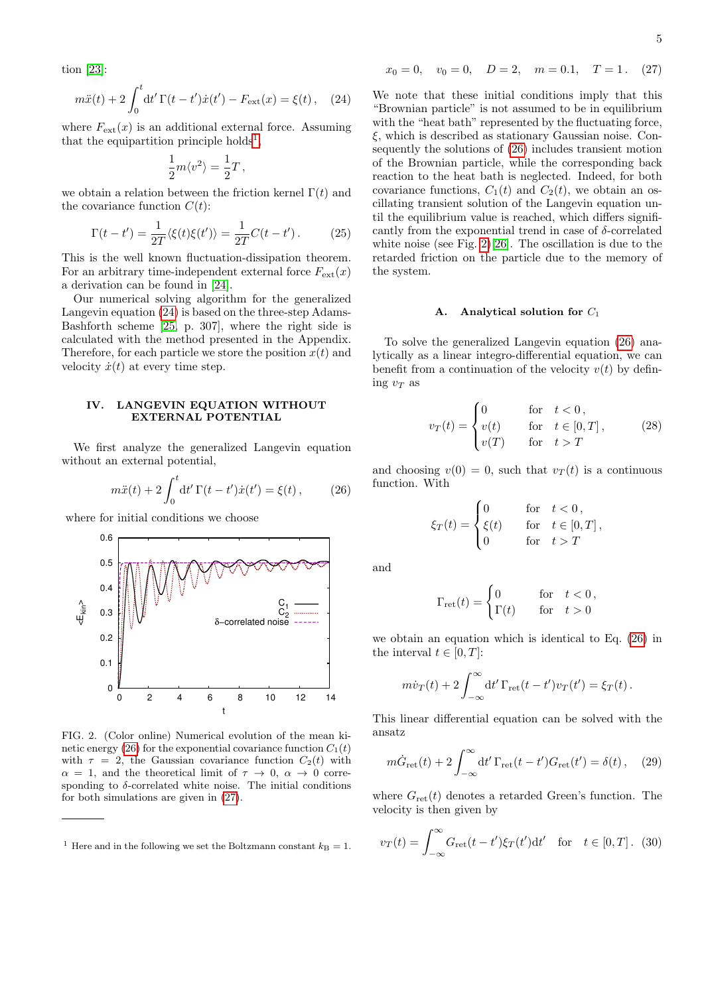tion [\[23\]](#page-11-19):

<span id="page-4-2"></span>
$$
m\ddot{x}(t) + 2\int_0^t dt' \Gamma(t - t')\dot{x}(t') - F_{\text{ext}}(x) = \xi(t), \quad (24)
$$

where  $F_{\text{ext}}(x)$  is an additional external force. Assuming that the equipartition principle holds<sup>[1](#page-4-1)</sup>,

$$
\frac{1}{2}m\langle v^2\rangle=\frac{1}{2}T\,,
$$

we obtain a relation between the friction kernel  $\Gamma(t)$  and the covariance function  $C(t)$ :

<span id="page-4-8"></span>
$$
\Gamma(t - t') = \frac{1}{2T} \langle \xi(t)\xi(t')\rangle = \frac{1}{2T} C(t - t'). \tag{25}
$$

This is the well known fluctuation-dissipation theorem. For an arbitrary time-independent external force  $F_{ext}(x)$ a derivation can be found in [\[24\]](#page-11-20).

Our numerical solving algorithm for the generalized Langevin equation [\(24\)](#page-4-2) is based on the three-step Adams-Bashforth scheme [\[25,](#page-11-21) p. 307], where the right side is calculated with the method presented in the Appendix. Therefore, for each particle we store the position  $x(t)$  and velocity  $\dot{x}(t)$  at every time step.

# <span id="page-4-0"></span>IV. LANGEVIN EQUATION WITHOUT EXTERNAL POTENTIAL

We first analyze the generalized Langevin equation without an external potential,

<span id="page-4-3"></span>
$$
m\ddot{x}(t) + 2\int_0^t dt' \Gamma(t - t')\dot{x}(t') = \xi(t), \qquad (26)
$$

where for initial conditions we choose



<span id="page-4-5"></span>FIG. 2. (Color online) Numerical evolution of the mean ki-netic energy [\(26\)](#page-4-3) for the exponential covariance function  $C_1(t)$ with  $\tau = 2$ , the Gaussian covariance function  $C_2(t)$  with  $\alpha = 1$ , and the theoretical limit of  $\tau \to 0$ ,  $\alpha \to 0$  corresponding to  $\delta$ -correlated white noise. The initial conditions for both simulations are given in [\(27\)](#page-4-4).

<span id="page-4-4"></span>
$$
x_0 = 0
$$
,  $v_0 = 0$ ,  $D = 2$ ,  $m = 0.1$ ,  $T = 1$ . (27)

We note that these initial conditions imply that this "Brownian particle" is not assumed to be in equilibrium with the "heat bath" represented by the fluctuating force, ξ, which is described as stationary Gaussian noise. Consequently the solutions of [\(26\)](#page-4-3) includes transient motion of the Brownian particle, while the corresponding back reaction to the heat bath is neglected. Indeed, for both covariance functions,  $C_1(t)$  and  $C_2(t)$ , we obtain an oscillating transient solution of the Langevin equation until the equilibrium value is reached, which differs significantly from the exponential trend in case of  $\delta$ -correlated white noise (see Fig. [2\)](#page-4-5)[\[26\]](#page-11-22). The oscillation is due to the retarded friction on the particle due to the memory of the system.

#### A. Analytical solution for  $C_1$

To solve the generalized Langevin equation [\(26\)](#page-4-3) analytically as a linear integro-differential equation, we can benefit from a continuation of the velocity  $v(t)$  by defining  $v_T$  as

$$
v_T(t) = \begin{cases} 0 & \text{for} \quad t < 0, \\ v(t) & \text{for} \quad t \in [0, T], \\ v(T) & \text{for} \quad t > T \end{cases} \tag{28}
$$

and choosing  $v(0) = 0$ , such that  $v_T(t)$  is a continuous function. With

$$
\xi_T(t) = \begin{cases} 0 & \text{for} \quad t < 0, \\ \xi(t) & \text{for} \quad t \in [0, T], \\ 0 & \text{for} \quad t > T \end{cases}
$$

and

$$
\Gamma_{\rm ret}(t) = \begin{cases} 0 & \text{for} \quad t < 0 \\ \Gamma(t) & \text{for} \quad t > 0 \end{cases}
$$

we obtain an equation which is identical to Eq. [\(26\)](#page-4-3) in the interval  $t \in [0, T]$ :

$$
m\dot{v}_T(t) + 2\int_{-\infty}^{\infty} dt' \Gamma_{\rm ret}(t-t')v_T(t') = \xi_T(t).
$$

This linear differential equation can be solved with the ansatz

<span id="page-4-6"></span>
$$
m\dot{G}_{\text{ret}}(t) + 2\int_{-\infty}^{\infty} dt' \Gamma_{\text{ret}}(t - t') G_{\text{ret}}(t') = \delta(t), \quad (29)
$$

where  $G_{\text{ret}}(t)$  denotes a retarded Green's function. The velocity is then given by

<span id="page-4-7"></span>
$$
v_T(t) = \int_{-\infty}^{\infty} G_{\text{ret}}(t - t') \xi_T(t') dt' \quad \text{for} \quad t \in [0, T]. \tag{30}
$$

<span id="page-4-1"></span><sup>&</sup>lt;sup>1</sup> Here and in the following we set the Boltzmann constant  $k_B = 1$ .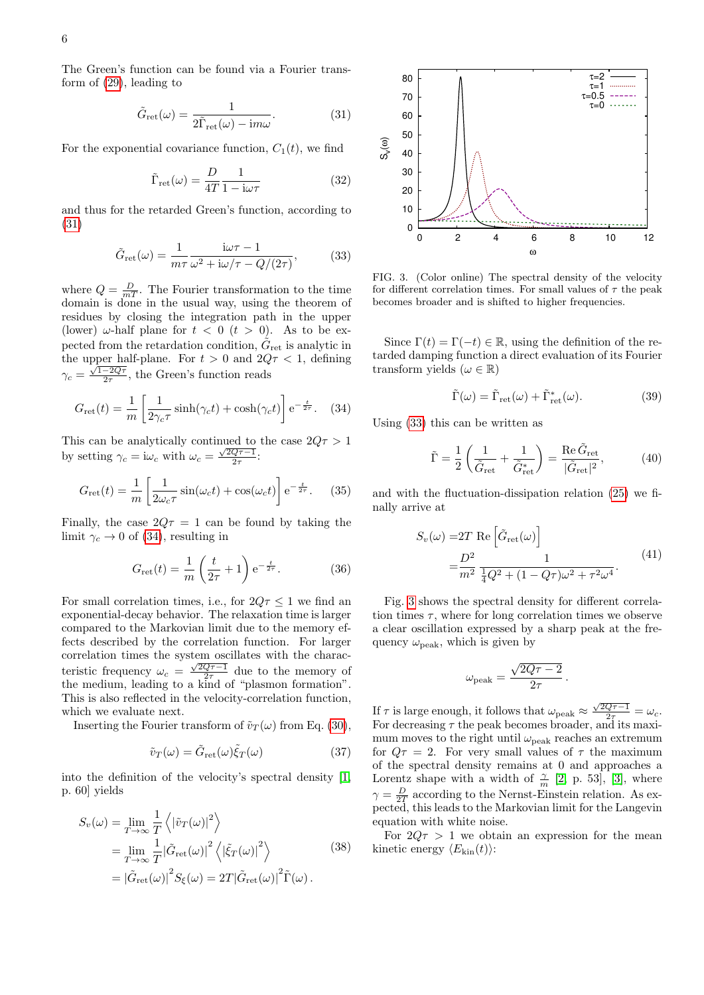The Green's function can be found via a Fourier transform of [\(29\)](#page-4-6), leading to

<span id="page-5-0"></span>
$$
\tilde{G}_{\rm ret}(\omega) = \frac{1}{2\tilde{\Gamma}_{\rm ret}(\omega) - i m \omega}.
$$
 (31)

For the exponential covariance function,  $C_1(t)$ , we find

$$
\tilde{\Gamma}_{\rm ret}(\omega) = \frac{D}{4T} \frac{1}{1 - i\omega \tau} \tag{32}
$$

and thus for the retarded Green's function, according to [\(31\)](#page-5-0)

$$
\tilde{G}_{\rm ret}(\omega) = \frac{1}{m\tau} \frac{\mathrm{i}\omega\tau - 1}{\omega^2 + \mathrm{i}\omega/\tau - Q/(2\tau)},\tag{33}
$$

<span id="page-5-2"></span>where  $Q = \frac{D}{mT}$ . The Fourier transformation to the time domain is done in the usual way, using the theorem of residues by closing the integration path in the upper (lower)  $\omega$ -half plane for  $t < 0$   $(t > 0)$ . As to be expected from the retardation condition,  $\tilde{G}_{\text{ret}}$  is analytic in the upper half-plane. For  $t > 0$  and  $2Q\tau < 1$ , defining  $\gamma_c = \frac{\sqrt{1-2Q\tau}}{2\tau}$ , the Green's function reads

<span id="page-5-1"></span>
$$
G_{\rm ret}(t) = \frac{1}{m} \left[ \frac{1}{2\gamma_c \tau} \sinh(\gamma_c t) + \cosh(\gamma_c t) \right] e^{-\frac{t}{2\tau}}.
$$
 (34)

This can be analytically continued to the case  $2Q\tau > 1$ by setting  $\gamma_c = i\omega_c$  with  $\omega_c = \frac{\sqrt{2Q\tau - 1}}{2\tau}$ :

$$
G_{\rm ret}(t) = \frac{1}{m} \left[ \frac{1}{2\omega_c \tau} \sin(\omega_c t) + \cos(\omega_c t) \right] e^{-\frac{t}{2\tau}}.
$$
 (35)

Finally, the case  $2Q\tau = 1$  can be found by taking the limit  $\gamma_c \to 0$  of [\(34\)](#page-5-1), resulting in

$$
G_{\rm ret}(t) = \frac{1}{m} \left( \frac{t}{2\tau} + 1 \right) e^{-\frac{t}{2\tau}}.
$$
 (36)

For small correlation times, i.e., for  $2Q\tau \leq 1$  we find an exponential-decay behavior. The relaxation time is larger compared to the Markovian limit due to the memory effects described by the correlation function. For larger correlation times the system oscillates with the characteristic frequency  $\omega_c = \frac{\sqrt{2Q_T-1}}{2\tau}$  due to the memory of the medium, leading to a kind of "plasmon formation". This is also reflected in the velocity-correlation function, which we evaluate next.

Inserting the Fourier transform of  $\tilde{v}_T(\omega)$  from Eq. [\(30\)](#page-4-7),

$$
\tilde{v}_T(\omega) = \tilde{G}_{\text{ret}}(\omega)\tilde{\xi}_T(\omega) \tag{37}
$$

into the definition of the velocity's spectral density [\[1,](#page-11-0) p. 60] yields

$$
S_{\nu}(\omega) = \lim_{T \to \infty} \frac{1}{T} \left\langle |\tilde{v}_{T}(\omega)|^{2} \right\rangle
$$
  
= 
$$
\lim_{T \to \infty} \frac{1}{T} |\tilde{G}_{\text{ret}}(\omega)|^{2} \left\langle |\tilde{\xi}_{T}(\omega)|^{2} \right\rangle
$$
  
= 
$$
|\tilde{G}_{\text{ret}}(\omega)|^{2} S_{\xi}(\omega) = 2T |\tilde{G}_{\text{ret}}(\omega)|^{2} \tilde{\Gamma}(\omega).
$$
 (38)



<span id="page-5-3"></span>FIG. 3. (Color online) The spectral density of the velocity for different correlation times. For small values of  $\tau$  the peak becomes broader and is shifted to higher frequencies.

Since  $\Gamma(t) = \Gamma(-t) \in \mathbb{R}$ , using the definition of the retarded damping function a direct evaluation of its Fourier transform yields ( $\omega \in \mathbb{R}$ )

$$
\tilde{\Gamma}(\omega) = \tilde{\Gamma}_{\text{ret}}(\omega) + \tilde{\Gamma}_{\text{ret}}^*(\omega). \tag{39}
$$

Using [\(33\)](#page-5-2) this can be written as

$$
\tilde{\Gamma} = \frac{1}{2} \left( \frac{1}{\tilde{G}_{\text{ret}}} + \frac{1}{\tilde{G}_{\text{ret}}^*} \right) = \frac{\text{Re } \tilde{G}_{\text{ret}}}{|\tilde{G}_{\text{ret}}|^2},\tag{40}
$$

and with the fluctuation-dissipation relation [\(25\)](#page-4-8) we finally arrive at

$$
S_v(\omega) = 2T \text{ Re } \left[ \tilde{G}_{\text{ret}}(\omega) \right]
$$
  
= 
$$
\frac{D^2}{m^2} \frac{1}{\frac{1}{4}Q^2 + (1 - Q\tau)\omega^2 + \tau^2\omega^4}.
$$
 (41)

Fig. [3](#page-5-3) shows the spectral density for different correlation times  $\tau$ , where for long correlation times we observe a clear oscillation expressed by a sharp peak at the frequency  $\omega_{\text{peak}}$ , which is given by

$$
\omega_{\rm peak} = \frac{\sqrt{2Q\tau - 2}}{2\tau}.
$$

If  $\tau$  is large enough, it follows that  $\omega_{\rm peak} \approx \frac{\sqrt{2Q\tau - 1}}{2\tau} = \omega_c$ . For decreasing  $\tau$  the peak becomes broader, and its maximum moves to the right until  $\omega_{\text{peak}}$  reaches an extremum for  $Q\tau = 2$ . For very small values of  $\tau$  the maximum of the spectral density remains at 0 and approaches a Lorentz shape with a width of  $\frac{\gamma}{m}$  [\[2,](#page-11-1) p. 53], [\[3\]](#page-11-2), where  $\gamma = \frac{D}{2T}$  according to the Nernst-Einstein relation. As expected, this leads to the Markovian limit for the Langevin equation with white noise.

For  $2Q\tau > 1$  we obtain an expression for the mean kinetic energy  $\langle E_{\text{kin}}(t) \rangle$ :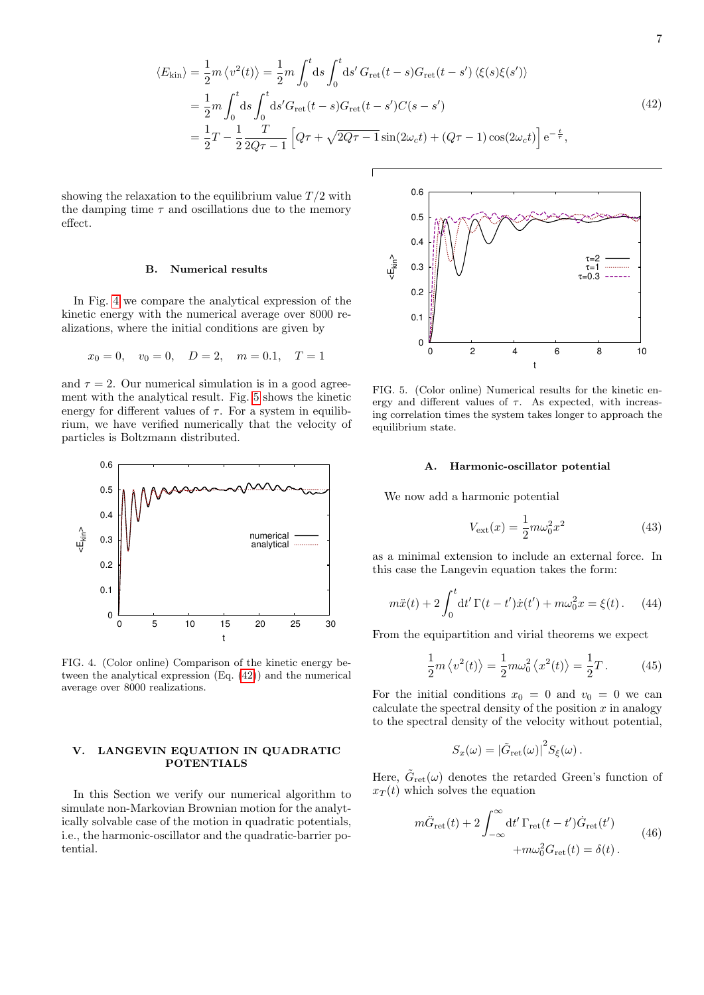$$
\langle E_{\rm kin} \rangle = \frac{1}{2} m \langle v^2(t) \rangle = \frac{1}{2} m \int_0^t ds \int_0^t ds' G_{\rm ret}(t-s) G_{\rm ret}(t-s') \langle \xi(s) \xi(s') \rangle
$$
  
\n
$$
= \frac{1}{2} m \int_0^t ds \int_0^t ds' G_{\rm ret}(t-s) G_{\rm ret}(t-s') C(s-s')
$$
  
\n
$$
= \frac{1}{2} T - \frac{1}{2} \frac{T}{2Q\tau - 1} \left[ Q\tau + \sqrt{2Q\tau - 1} \sin(2\omega_c t) + (Q\tau - 1) \cos(2\omega_c t) \right] e^{-\frac{t}{\tau}},
$$
\n(42)

<span id="page-6-3"></span>showing the relaxation to the equilibrium value  $T/2$  with the damping time  $\tau$  and oscillations due to the memory effect.

### B. Numerical results

In Fig. [4](#page-6-1) we compare the analytical expression of the kinetic energy with the numerical average over 8000 realizations, where the initial conditions are given by

$$
x_0 = 0
$$
,  $v_0 = 0$ ,  $D = 2$ ,  $m = 0.1$ ,  $T = 1$ 

and  $\tau = 2$ . Our numerical simulation is in a good agreement with the analytical result. Fig. [5](#page-6-2) shows the kinetic energy for different values of  $\tau$ . For a system in equilibrium, we have verified numerically that the velocity of particles is Boltzmann distributed.



<span id="page-6-1"></span>FIG. 4. (Color online) Comparison of the kinetic energy between the analytical expression (Eq. [\(42\)](#page-6-3)) and the numerical average over 8000 realizations.

# <span id="page-6-0"></span>V. LANGEVIN EQUATION IN QUADRATIC POTENTIALS

In this Section we verify our numerical algorithm to simulate non-Markovian Brownian motion for the analytically solvable case of the motion in quadratic potentials, i.e., the harmonic-oscillator and the quadratic-barrier potential.



<span id="page-6-2"></span>FIG. 5. (Color online) Numerical results for the kinetic energy and different values of  $\tau$ . As expected, with increasing correlation times the system takes longer to approach the equilibrium state.

#### A. Harmonic-oscillator potential

We now add a harmonic potential

$$
V_{\text{ext}}(x) = \frac{1}{2}m\omega_0^2 x^2\tag{43}
$$

as a minimal extension to include an external force. In this case the Langevin equation takes the form:

$$
m\ddot{x}(t) + 2\int_0^t dt' \Gamma(t - t')\dot{x}(t') + m\omega_0^2 x = \xi(t).
$$
 (44)

From the equipartition and virial theorems we expect

$$
\frac{1}{2}m\left\langle v^2(t)\right\rangle = \frac{1}{2}m\omega_0^2\left\langle x^2(t)\right\rangle = \frac{1}{2}T. \tag{45}
$$

For the initial conditions  $x_0 = 0$  and  $v_0 = 0$  we can calculate the spectral density of the position  $x$  in analogy to the spectral density of the velocity without potential,

$$
S_x(\omega) = |\tilde{G}_{\rm ret}(\omega)|^2 S_{\xi}(\omega).
$$

Here,  $\tilde{G}_{\text{ret}}(\omega)$  denotes the retarded Green's function of  $x_T(t)$  which solves the equation

$$
m\ddot{G}_{\text{ret}}(t) + 2 \int_{-\infty}^{\infty} dt' \Gamma_{\text{ret}}(t - t') \dot{G}_{\text{ret}}(t')
$$
  
+
$$
m\omega_0^2 G_{\text{ret}}(t) = \delta(t).
$$
 (46)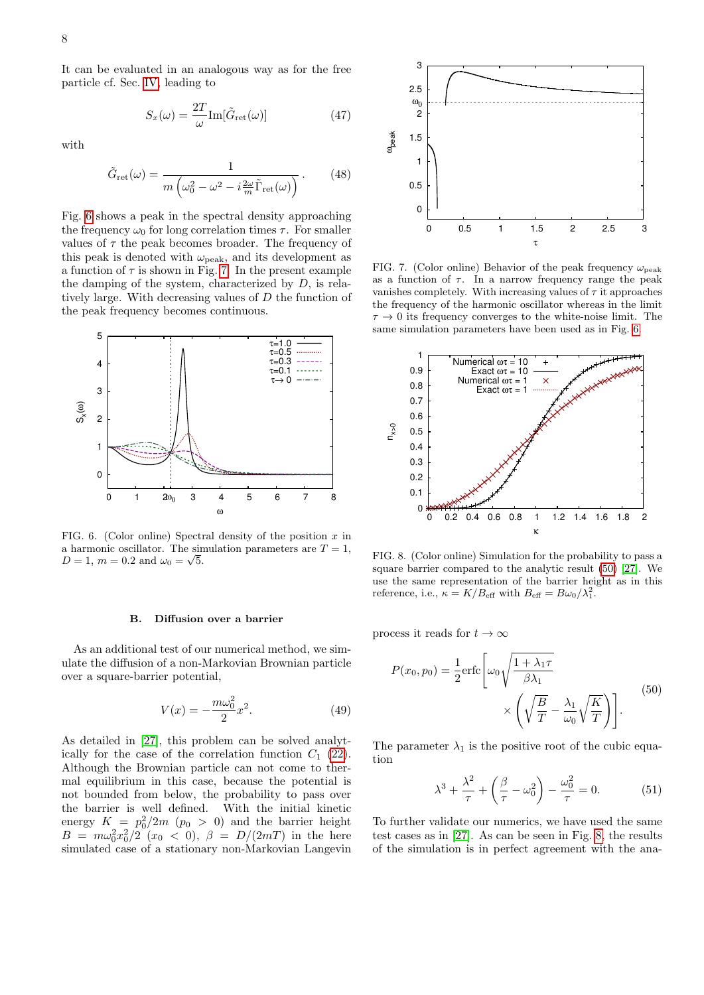It can be evaluated in an analogous way as for the free particle cf. Sec. [IV,](#page-4-0) leading to

$$
S_x(\omega) = \frac{2T}{\omega} \text{Im}[\tilde{G}_{\text{ret}}(\omega)] \tag{47}
$$

with

$$
\tilde{G}_{\rm ret}(\omega) = \frac{1}{m \left(\omega_0^2 - \omega^2 - i\frac{2\omega}{m}\tilde{\Gamma}_{\rm ret}(\omega)\right)}.
$$
 (48)

Fig. [6](#page-7-0) shows a peak in the spectral density approaching the frequency  $\omega_0$  for long correlation times  $\tau$ . For smaller values of  $\tau$  the peak becomes broader. The frequency of this peak is denoted with  $\omega_{\text{peak}}$ , and its development as a function of  $\tau$  is shown in Fig. [7.](#page-7-1) In the present example the damping of the system, characterized by  $D$ , is relatively large. With decreasing values of D the function of the peak frequency becomes continuous.



<span id="page-7-0"></span>FIG. 6. (Color online) Spectral density of the position  $x$  in a harmonic oscillator. The simulation parameters are  $T = 1$ ,  $D = 1, m = 0.2 \text{ and } \omega_0 = \sqrt{5}.$ 

#### B. Diffusion over a barrier

As an additional test of our numerical method, we simulate the diffusion of a non-Markovian Brownian particle over a square-barrier potential,

$$
V(x) = -\frac{m\omega_0^2}{2}x^2.
$$
 (49)

As detailed in [\[27\]](#page-11-23), this problem can be solved analytically for the case of the correlation function  $C_1$  [\(22\)](#page-3-3). Although the Brownian particle can not come to thermal equilibrium in this case, because the potential is not bounded from below, the probability to pass over the barrier is well defined. With the initial kinetic energy  $K = p_0^2/2m$  ( $p_0 > 0$ ) and the barrier height  $B = m\omega_0^2 x_0^2/2$   $(x_0 < 0), \ \beta = D/(2mT)$  in the here simulated case of a stationary non-Markovian Langevin



<span id="page-7-1"></span>FIG. 7. (Color online) Behavior of the peak frequency  $\omega_{\text{peak}}$ as a function of  $\tau$ . In a narrow frequency range the peak vanishes completely. With increasing values of  $\tau$  it approaches the frequency of the harmonic oscillator whereas in the limit  $\tau \to 0$  its frequency converges to the white-noise limit. The same simulation parameters have been used as in Fig. [6.](#page-7-0)



<span id="page-7-3"></span>FIG. 8. (Color online) Simulation for the probability to pass a square barrier compared to the analytic result [\(50\)](#page-7-2) [\[27\]](#page-11-23). We use the same representation of the barrier height as in this reference, i.e.,  $\kappa = K/B_{\text{eff}}$  with  $B_{\text{eff}} = B\omega_0/\lambda_1^2$ .

process it reads for  $t \to \infty$ 

<span id="page-7-2"></span>
$$
P(x_0, p_0) = \frac{1}{2} \text{erfc}\left[\omega_0 \sqrt{\frac{1 + \lambda_1 \tau}{\beta \lambda_1}}\right] \times \left(\sqrt{\frac{B}{T}} - \frac{\lambda_1}{\omega_0} \sqrt{\frac{K}{T}}\right)\right].
$$
\n(50)

The parameter  $\lambda_1$  is the positive root of the cubic equation

$$
\lambda^3 + \frac{\lambda^2}{\tau} + \left(\frac{\beta}{\tau} - \omega_0^2\right) - \frac{\omega_0^2}{\tau} = 0.
$$
 (51)

To further validate our numerics, we have used the same test cases as in [\[27\]](#page-11-23). As can be seen in Fig. [8,](#page-7-3) the results of the simulation is in perfect agreement with the ana-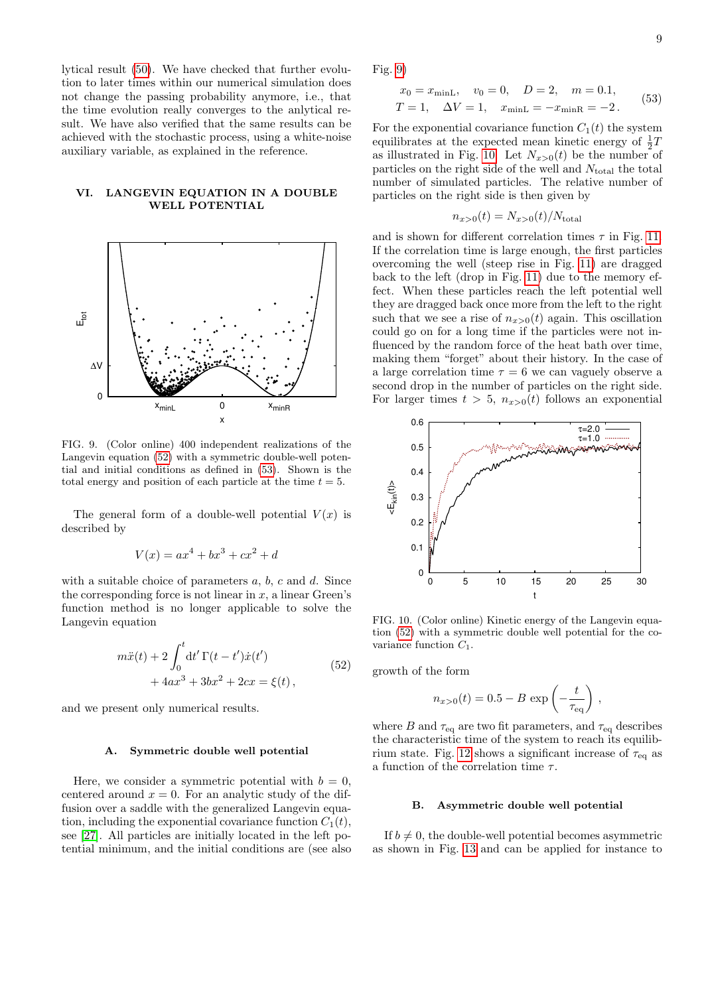<span id="page-8-3"></span>9

lytical result [\(50\)](#page-7-2). We have checked that further evolution to later times within our numerical simulation does not change the passing probability anymore, i.e., that the time evolution really converges to the anlytical result. We have also verified that the same results can be achieved with the stochastic process, using a white-noise auxiliary variable, as explained in the reference.

# VI. LANGEVIN EQUATION IN A DOUBLE WELL POTENTIAL



<span id="page-8-4"></span>FIG. 9. (Color online) 400 independent realizations of the Langevin equation [\(52\)](#page-8-2) with a symmetric double-well potential and initial conditions as defined in [\(53\)](#page-8-3). Shown is the total energy and position of each particle at the time  $t = 5$ .

The general form of a double-well potential  $V(x)$  is described by

$$
V(x) = ax^4 + bx^3 + cx^2 + d
$$

with a suitable choice of parameters  $a, b, c$  and  $d$ . Since the corresponding force is not linear in  $x$ , a linear Green's function method is no longer applicable to solve the Langevin equation

$$
m\ddot{x}(t) + 2\int_0^t dt' \Gamma(t - t')\dot{x}(t')
$$
  
+ 4ax<sup>3</sup> + 3bx<sup>2</sup> + 2cx =  $\xi(t)$ , (52)

<span id="page-8-2"></span>and we present only numerical results.

#### <span id="page-8-0"></span>A. Symmetric double well potential

Here, we consider a symmetric potential with  $b = 0$ , centered around  $x = 0$ . For an analytic study of the diffusion over a saddle with the generalized Langevin equation, including the exponential covariance function  $C_1(t)$ , see [\[27\]](#page-11-23). All particles are initially located in the left potential minimum, and the initial conditions are (see also Fig. [9\)](#page-8-4)

$$
x_0 = x_{\text{minL}}, v_0 = 0, D = 2, m = 0.1,
$$
  
\n $T = 1, \Delta V = 1, x_{\text{minL}} = -x_{\text{minR}} = -2.$  (53)

For the exponential covariance function  $C_1(t)$  the system equilibrates at the expected mean kinetic energy of  $\frac{1}{2}T$ as illustrated in Fig. [10.](#page-8-5) Let  $N_{x>0}(t)$  be the number of particles on the right side of the well and  $N_{total}$  the total number of simulated particles. The relative number of particles on the right side is then given by

$$
n_{x>0}(t) = N_{x>0}(t)/N_{\text{total}}
$$

and is shown for different correlation times  $\tau$  in Fig. [11.](#page-9-0) If the correlation time is large enough, the first particles overcoming the well (steep rise in Fig. [11\)](#page-9-0) are dragged back to the left (drop in Fig. [11\)](#page-9-0) due to the memory effect. When these particles reach the left potential well they are dragged back once more from the left to the right such that we see a rise of  $n_{x>0}(t)$  again. This oscillation could go on for a long time if the particles were not influenced by the random force of the heat bath over time, making them "forget" about their history. In the case of a large correlation time  $\tau = 6$  we can vaguely observe a second drop in the number of particles on the right side. For larger times  $t > 5$ ,  $n_{x>0}(t)$  follows an exponential



<span id="page-8-5"></span>FIG. 10. (Color online) Kinetic energy of the Langevin equation [\(52\)](#page-8-2) with a symmetric double well potential for the covariance function  $C_1$ .

growth of the form

$$
n_{x>0}(t) = 0.5 - B \exp\left(-\frac{t}{\tau_{\text{eq}}}\right),
$$

where B and  $\tau_{eq}$  are two fit parameters, and  $\tau_{eq}$  describes the characteristic time of the system to reach its equilib-rium state. Fig. [12](#page-9-1) shows a significant increase of  $\tau_{eq}$  as a function of the correlation time  $\tau$ .

### <span id="page-8-1"></span>B. Asymmetric double well potential

If  $b \neq 0$ , the double-well potential becomes asymmetric as shown in Fig. [13](#page-9-2) and can be applied for instance to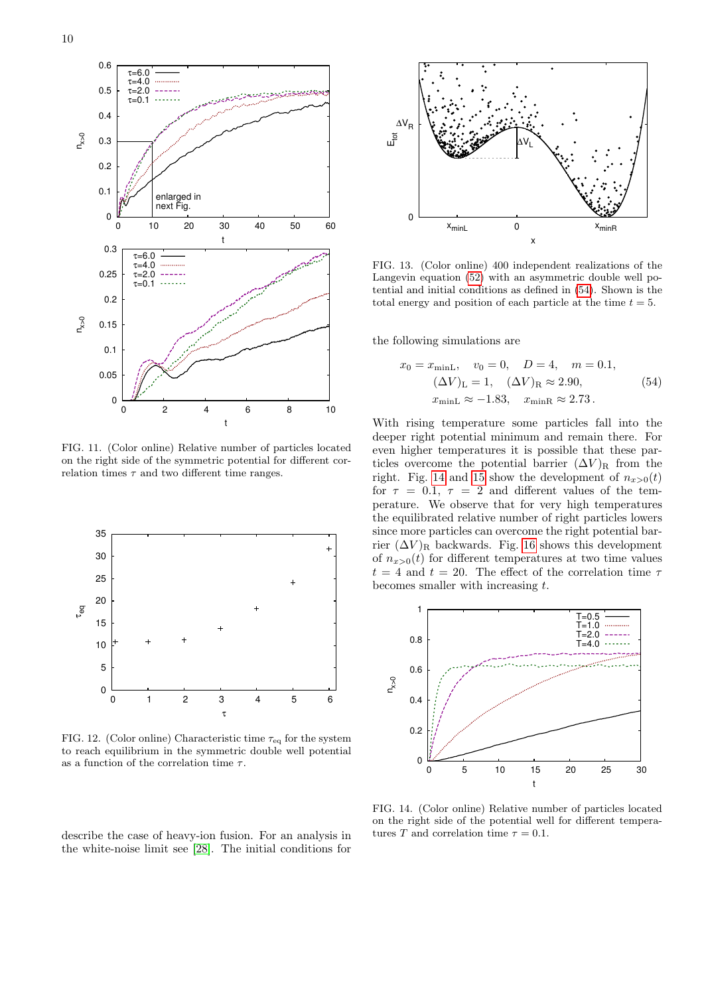

<span id="page-9-0"></span>FIG. 11. (Color online) Relative number of particles located on the right side of the symmetric potential for different correlation times  $\tau$  and two different time ranges.



<span id="page-9-1"></span>FIG. 12. (Color online) Characteristic time  $\tau_{eq}$  for the system to reach equilibrium in the symmetric double well potential as a function of the correlation time  $\tau$ .

describe the case of heavy-ion fusion. For an analysis in the white-noise limit see [\[28\]](#page-11-24). The initial conditions for



<span id="page-9-2"></span>FIG. 13. (Color online) 400 independent realizations of the Langevin equation [\(52\)](#page-8-2) with an asymmetric double well potential and initial conditions as defined in [\(54\)](#page-9-3). Shown is the total energy and position of each particle at the time  $t = 5$ .

the following simulations are

<span id="page-9-3"></span>
$$
x_0 = x_{\text{minL}}, \quad v_0 = 0, \quad D = 4, \quad m = 0.1,
$$
  
\n $(\Delta V)_{\text{L}} = 1, \quad (\Delta V)_{\text{R}} \approx 2.90,$   
\n $x_{\text{minL}} \approx -1.83, \quad x_{\text{minR}} \approx 2.73.$  (54)

With rising temperature some particles fall into the deeper right potential minimum and remain there. For even higher temperatures it is possible that these particles overcome the potential barrier  $(\Delta V)_{\text{R}}$  from the right. Fig. [14](#page-9-4) and [15](#page-10-0) show the development of  $n_{x>0}(t)$ for  $\tau = 0.1, \tau = 2$  and different values of the temperature. We observe that for very high temperatures the equilibrated relative number of right particles lowers since more particles can overcome the right potential barrier  $(\Delta V)_{\rm R}$  backwards. Fig. [16](#page-10-1) shows this development of  $n_{x>0}(t)$  for different temperatures at two time values  $t = 4$  and  $t = 20$ . The effect of the correlation time  $\tau$ becomes smaller with increasing t.



<span id="page-9-4"></span>FIG. 14. (Color online) Relative number of particles located on the right side of the potential well for different temperatures T and correlation time  $\tau = 0.1$ .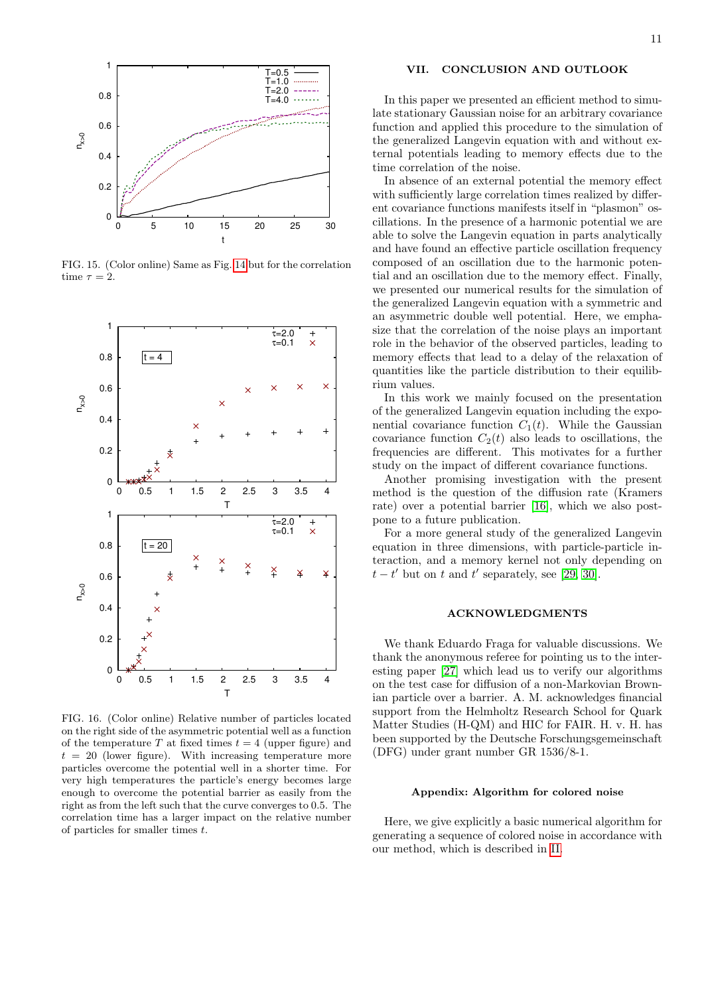

<span id="page-10-0"></span>FIG. 15. (Color online) Same as Fig. [14](#page-9-4) but for the correlation time  $\tau = 2$ .



<span id="page-10-1"></span>FIG. 16. (Color online) Relative number of particles located on the right side of the asymmetric potential well as a function of the temperature T at fixed times  $t = 4$  (upper figure) and  $t = 20$  (lower figure). With increasing temperature more particles overcome the potential well in a shorter time. For very high temperatures the particle's energy becomes large enough to overcome the potential barrier as easily from the right as from the left such that the curve converges to 0.5. The correlation time has a larger impact on the relative number of particles for smaller times t.

# VII. CONCLUSION AND OUTLOOK

In this paper we presented an efficient method to simulate stationary Gaussian noise for an arbitrary covariance function and applied this procedure to the simulation of the generalized Langevin equation with and without external potentials leading to memory effects due to the time correlation of the noise.

In absence of an external potential the memory effect with sufficiently large correlation times realized by different covariance functions manifests itself in "plasmon" oscillations. In the presence of a harmonic potential we are able to solve the Langevin equation in parts analytically and have found an effective particle oscillation frequency composed of an oscillation due to the harmonic potential and an oscillation due to the memory effect. Finally, we presented our numerical results for the simulation of the generalized Langevin equation with a symmetric and an asymmetric double well potential. Here, we emphasize that the correlation of the noise plays an important role in the behavior of the observed particles, leading to memory effects that lead to a delay of the relaxation of quantities like the particle distribution to their equilibrium values.

In this work we mainly focused on the presentation of the generalized Langevin equation including the exponential covariance function  $C_1(t)$ . While the Gaussian covariance function  $C_2(t)$  also leads to oscillations, the frequencies are different. This motivates for a further study on the impact of different covariance functions.

Another promising investigation with the present method is the question of the diffusion rate (Kramers rate) over a potential barrier [\[16\]](#page-11-12), which we also postpone to a future publication.

For a more general study of the generalized Langevin equation in three dimensions, with particle-particle interaction, and a memory kernel not only depending on  $t - t'$  but on t and t' separately, see [\[29,](#page-11-25) [30\]](#page-11-26).

# ACKNOWLEDGMENTS

We thank Eduardo Fraga for valuable discussions. We thank the anonymous referee for pointing us to the interesting paper [\[27\]](#page-11-23) which lead us to verify our algorithms on the test case for diffusion of a non-Markovian Brownian particle over a barrier. A. M. acknowledges financial support from the Helmholtz Research School for Quark Matter Studies (H-QM) and HIC for FAIR. H. v. H. has been supported by the Deutsche Forschungsgemeinschaft (DFG) under grant number GR 1536/8-1.

#### Appendix: Algorithm for colored noise

Here, we give explicitly a basic numerical algorithm for generating a sequence of colored noise in accordance with our method, which is described in [II.](#page-1-0)